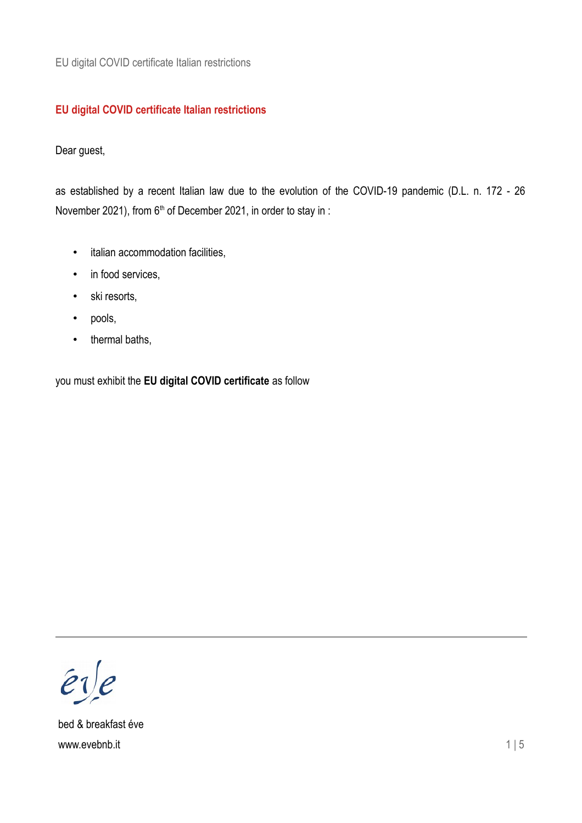### **EU digital COVID certificate Italian restrictions**

Dear guest,

as established by a recent Italian law due to the evolution of the COVID-19 pandemic (D.L. n. 172 - 26 November 2021), from 6<sup>th</sup> of December 2021, in order to stay in :

- italian accommodation facilities,
- in food services,
- ski resorts,
- pools,
- thermal baths,

you must exhibit the **EU digital COVID certificate** as follow

 $er/e$ 

bed & breakfast éve www.evebnb.it 1 | 5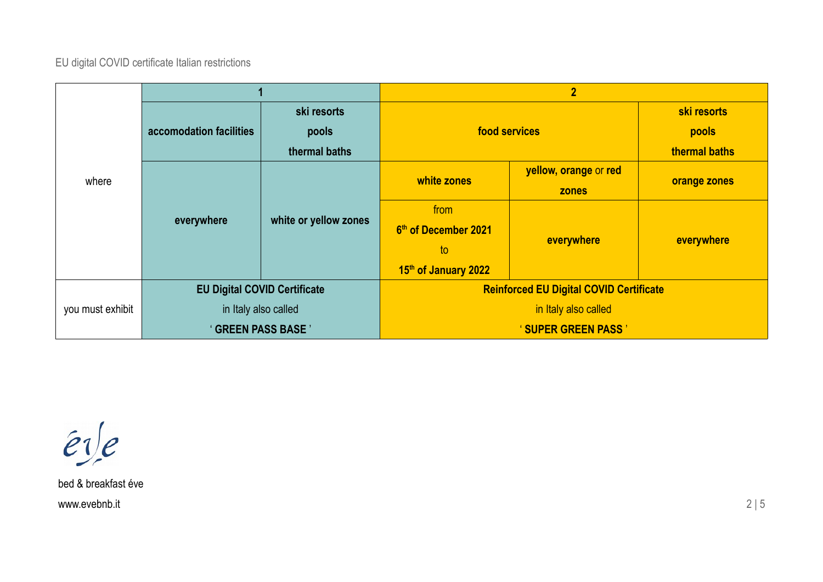|                  |                                     |                       | $\overline{2}$                                 |                       |               |
|------------------|-------------------------------------|-----------------------|------------------------------------------------|-----------------------|---------------|
| where            | accomodation facilities             | ski resorts           | food services                                  |                       | ski resorts   |
|                  |                                     | pools                 |                                                |                       | pools         |
|                  |                                     | thermal baths         |                                                |                       | thermal baths |
|                  | everywhere                          | white or yellow zones | white zones                                    | yellow, orange or red |               |
|                  |                                     |                       |                                                | <b>zones</b>          | orange zones  |
|                  |                                     |                       | from                                           | everywhere            | everywhere    |
|                  |                                     |                       | 6 <sup>th</sup> of December 2021               |                       |               |
|                  |                                     |                       | to                                             |                       |               |
|                  |                                     |                       | 15th of January 2022                           |                       |               |
|                  | <b>EU Digital COVID Certificate</b> |                       | <b>Reinforced EU Digital COVID Certificate</b> |                       |               |
| you must exhibit | in Italy also called                |                       | in Italy also called                           |                       |               |
|                  | ' GREEN PASS BASE '                 |                       | <b>'SUPER GREEN PASS'</b>                      |                       |               |

 $er/e$ 

bed & breakfast éve www.evebnb.it  $2 \mid 5$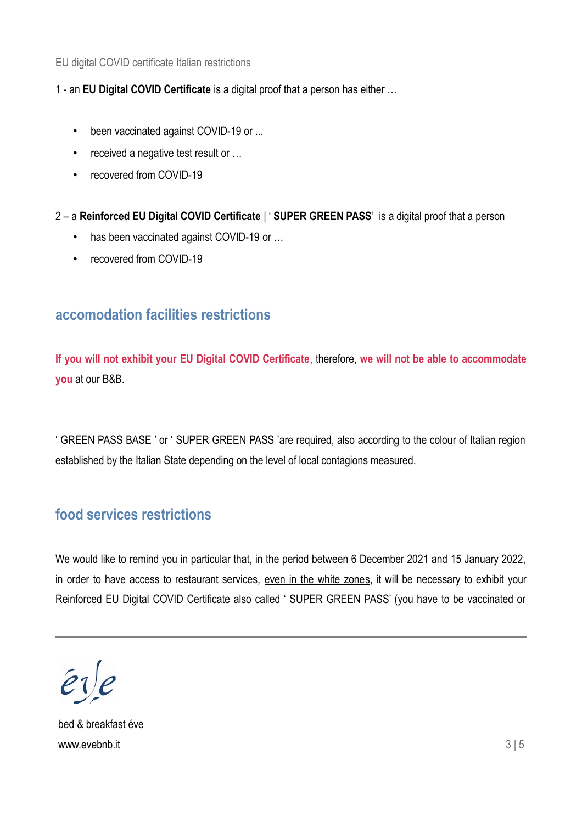1 - an **EU Digital COVID Certificate** is a digital proof that a person has either …

- been vaccinated against COVID-19 or ...
- received a negative test result or ...
- recovered from COVID-19

2 – a **Reinforced EU Digital COVID Certificate** | ' **SUPER GREEN PASS**' is a digital proof that a person

- has been vaccinated against COVID-19 or ...
- recovered from COVID-19

## **accomodation facilities restrictions**

**If you will not exhibit your EU Digital COVID Certificate**, therefore, **we will not be able to accommodate you** at our B&B.

' GREEN PASS BASE ' or ' SUPER GREEN PASS 'are required, also according to the colour of Italian region established by the Italian State depending on the level of local contagions measured.

# **food services restrictions**

We would like to remind you in particular that, in the period between 6 December 2021 and 15 January 2022, in order to have access to restaurant services, even in the white zones, it will be necessary to exhibit your Reinforced EU Digital COVID Certificate also called ' SUPER GREEN PASS' (you have to be vaccinated or

bed & breakfast éve www.evebnb.it 3 | 5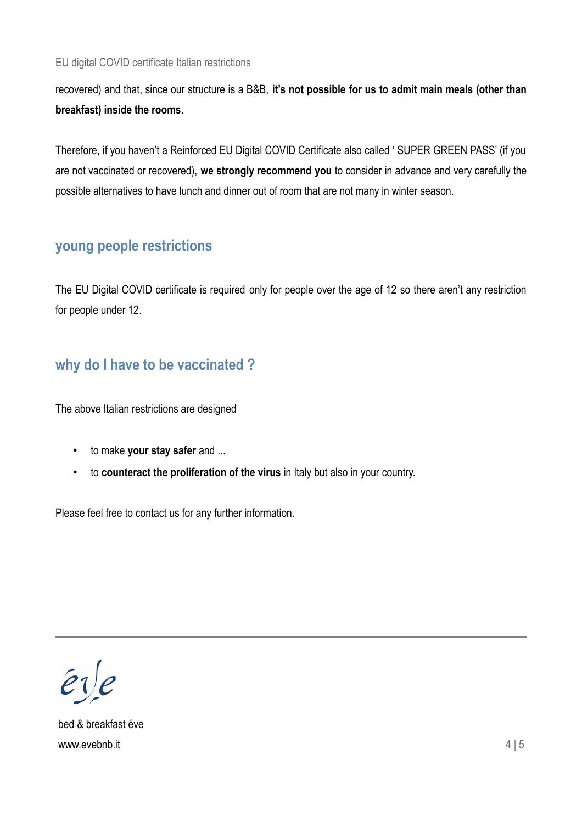recovered) and that, since our structure is a B&B, **it's not possible for us to admit main meals (other than breakfast) inside the rooms**.

Therefore, if you haven't a Reinforced EU Digital COVID Certificate also called ' SUPER GREEN PASS' (if you are not vaccinated or recovered), we strongly recommend you to consider in advance and very carefully the possible alternatives to have lunch and dinner out of room that are not many in winter season.

### **young people restrictions**

The EU Digital COVID certificate is required only for people over the age of 12 so there aren't any restriction for people under 12.

## **why do I have to be vaccinated ?**

The above Italian restrictions are designed

- to make **your stay safer** and ...
- to **counteract the proliferation of the virus** in Italy but also in your country.

Please feel free to contact us for any further information.

 $\hat{e}$ i $\hat{e}$ 

bed & breakfast éve www.evebnb.it 4 | 5